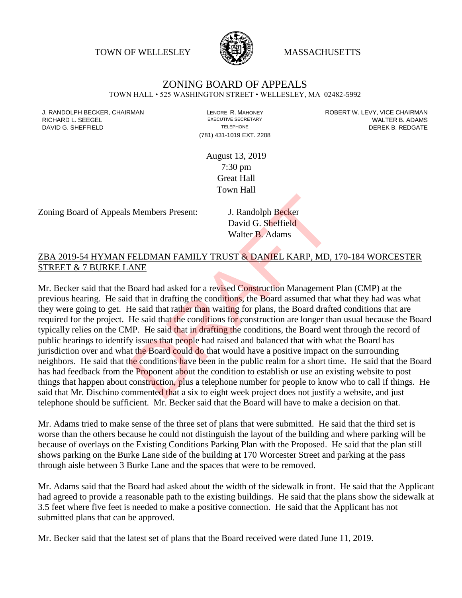TOWN OF WELLESLEY WASSACHUSETTS



## ZONING BOARD OF APPEALS

TOWN HALL • 525 WASHINGTON STREET • WELLESLEY, MA 02482-5992

(781) 431-1019 EXT. 2208

J. RANDOLPH BECKER, CHAIRMAN LAND LENORE R. MAHONEY LENORE RESOLUTIVE SECRETARY LEVY, VICE CHAIRMAN LAND RISPO<br>RICHARD L. SFFGFI LADAMS RICHARD L. SEEGEL **EXECUTIVE SECRETARY CONTROLL SEEGETARY** WALTER B. ADAMS DAVID G. SHEFFIELD **TELEPHONE** TELEPHONE TELEPHONE **TELEPHONE DEREK B. REDGATE** 

> August 13, 2019 7:30 pm Great Hall Town Hall

Zoning Board of Appeals Members Present: J. Randolph Becker

David G. Sheffield Walter B. Adams

## ZBA 2019-54 HYMAN FELDMAN FAMILY TRUST & DANIEL KARP, MD, 170-184 WORCESTER STREET & 7 BURKE LANE

Mr. Becker said that the Board had asked for a revised Construction Management Plan (CMP) at the previous hearing. He said that in drafting the conditions, the Board assumed that what they had was what they were going to get. He said that rather than waiting for plans, the Board drafted conditions that are required for the project. He said that the conditions for construction are longer than usual because the Board typically relies on the CMP. He said that in drafting the conditions, the Board went through the record of public hearings to identify issues that people had raised and balanced that with what the Board has jurisdiction over and what the Board could do that would have a positive impact on the surrounding neighbors. He said that the conditions have been in the public realm for a short time. He said that the Board has had feedback from the **Proponent about the condition to establish or use an existing website to post** things that happen about construction, plus a telephone number for people to know who to call if things. He said that Mr. Dischino commented that a six to eight week project does not justify a website, and just telephone should be sufficient. Mr. Becker said that the Board will have to make a decision on that. S. Members Present:<br>
J. Randolph Becker<br>
David G. Sheffield<br>
Walter B. Adams<br>
FELDMAN FAMILY TRUST & DANIEL KARP, MD,<br>
ANE<br>
Board had asked for a revised Construction Management<br>
d that in drafting the conditions, the Boar

Mr. Adams tried to make sense of the three set of plans that were submitted. He said that the third set is worse than the others because he could not distinguish the layout of the building and where parking will be because of overlays on the Existing Conditions Parking Plan with the Proposed. He said that the plan still shows parking on the Burke Lane side of the building at 170 Worcester Street and parking at the pass through aisle between 3 Burke Lane and the spaces that were to be removed.

Mr. Adams said that the Board had asked about the width of the sidewalk in front. He said that the Applicant had agreed to provide a reasonable path to the existing buildings. He said that the plans show the sidewalk at 3.5 feet where five feet is needed to make a positive connection. He said that the Applicant has not submitted plans that can be approved.

Mr. Becker said that the latest set of plans that the Board received were dated June 11, 2019.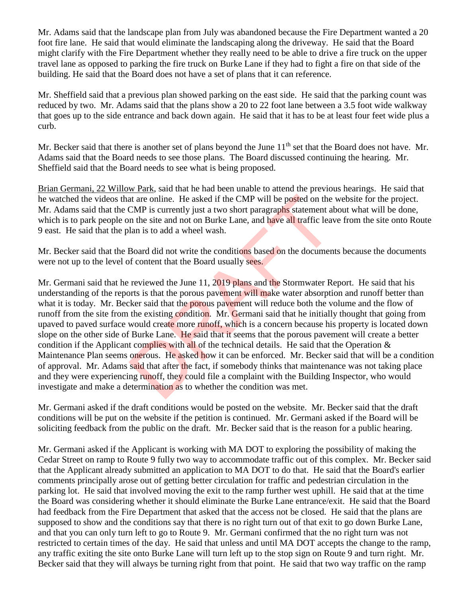Mr. Adams said that the landscape plan from July was abandoned because the Fire Department wanted a 20 foot fire lane. He said that would eliminate the landscaping along the driveway. He said that the Board might clarify with the Fire Department whether they really need to be able to drive a fire truck on the upper travel lane as opposed to parking the fire truck on Burke Lane if they had to fight a fire on that side of the building. He said that the Board does not have a set of plans that it can reference.

Mr. Sheffield said that a previous plan showed parking on the east side. He said that the parking count was reduced by two. Mr. Adams said that the plans show a 20 to 22 foot lane between a 3.5 foot wide walkway that goes up to the side entrance and back down again. He said that it has to be at least four feet wide plus a curb.

Mr. Becker said that there is another set of plans beyond the June  $11<sup>th</sup>$  set that the Board does not have. Mr. Adams said that the Board needs to see those plans. The Board discussed continuing the hearing. Mr. Sheffield said that the Board needs to see what is being proposed.

Brian Germani, 22 Willow Park, said that he had been unable to attend the previous hearings. He said that he watched the videos that are online. He asked if the CMP will be posted on the website for the project. Mr. Adams said that the CMP is currently just a two short paragraphs statement about what will be done, which is to park people on the site and not on Burke Lane, and have all traffic leave from the site onto Route 9 east. He said that the plan is to add a wheel wash.

Mr. Becker said that the Board did not write the conditions based on the documents because the documents were not up to the level of content that the Board usually sees.

Mr. Germani said that he reviewed the June 11, 2019 plans and the Stormwater Report. He said that his understanding of the reports is that the porous pavement will make water absorption and runoff better than what it is today. Mr. Becker said that the porous pavement will reduce both the volume and the flow of runoff from the site from the existing condition. Mr. Germani said that he initially thought that going from upaved to paved surface would create more runoff, which is a concern because his property is located down slope on the other side of Burke Lane. He said that it seems that the porous pavement will create a better condition if the Applicant complies with all of the technical details. He said that the Operation  $\&$ Maintenance Plan seems onerous. He asked how it can be enforced. Mr. Becker said that will be a condition of approval. Mr. Adams said that after the fact, if somebody thinks that maintenance was not taking place and they were experiencing runoff, they could file a complaint with the Building Inspector, who would investigate and make a determination as to whether the condition was met. at are online. He asked if the CMP will be posted on the<br>CMP is currently just a two short paragraphs statement al<br>n the site and not on Burke Lane, and have all traffic lear<br>lan is to add a wheel wash.<br>Board did not write

Mr. Germani asked if the draft conditions would be posted on the website. Mr. Becker said that the draft conditions will be put on the website if the petition is continued. Mr. Germani asked if the Board will be soliciting feedback from the public on the draft. Mr. Becker said that is the reason for a public hearing.

Mr. Germani asked if the Applicant is working with MA DOT to exploring the possibility of making the Cedar Street on ramp to Route 9 fully two way to accommodate traffic out of this complex. Mr. Becker said that the Applicant already submitted an application to MA DOT to do that. He said that the Board's earlier comments principally arose out of getting better circulation for traffic and pedestrian circulation in the parking lot. He said that involved moving the exit to the ramp further west uphill. He said that at the time the Board was considering whether it should eliminate the Burke Lane entrance/exit. He said that the Board had feedback from the Fire Department that asked that the access not be closed. He said that the plans are supposed to show and the conditions say that there is no right turn out of that exit to go down Burke Lane, and that you can only turn left to go to Route 9. Mr. Germani confirmed that the no right turn was not restricted to certain times of the day. He said that unless and until MA DOT accepts the change to the ramp, any traffic exiting the site onto Burke Lane will turn left up to the stop sign on Route 9 and turn right. Mr. Becker said that they will always be turning right from that point. He said that two way traffic on the ramp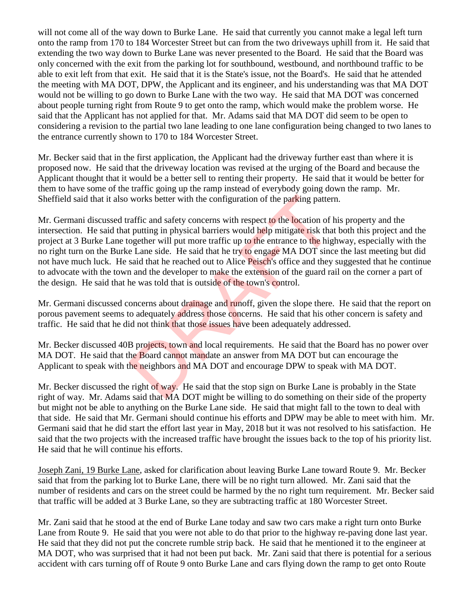will not come all of the way down to Burke Lane. He said that currently you cannot make a legal left turn onto the ramp from 170 to 184 Worcester Street but can from the two driveways uphill from it. He said that extending the two way down to Burke Lane was never presented to the Board. He said that the Board was only concerned with the exit from the parking lot for southbound, westbound, and northbound traffic to be able to exit left from that exit. He said that it is the State's issue, not the Board's. He said that he attended the meeting with MA DOT, DPW, the Applicant and its engineer, and his understanding was that MA DOT would not be willing to go down to Burke Lane with the two way. He said that MA DOT was concerned about people turning right from Route 9 to get onto the ramp, which would make the problem worse. He said that the Applicant has not applied for that. Mr. Adams said that MA DOT did seem to be open to considering a revision to the partial two lane leading to one lane configuration being changed to two lanes to the entrance currently shown to 170 to 184 Worcester Street.

Mr. Becker said that in the first application, the Applicant had the driveway further east than where it is proposed now. He said that the driveway location was revised at the urging of the Board and because the Applicant thought that it would be a better sell to renting their property. He said that it would be better for them to have some of the traffic going up the ramp instead of everybody going down the ramp. Mr. Sheffield said that it also works better with the configuration of the parking pattern.

Mr. Germani discussed traffic and safety concerns with respect to the location of his property and the intersection. He said that putting in physical barriers would help mitigate risk that both this project and the project at 3 Burke Lane together will put more traffic up to the entrance to the highway, especially with the no right turn on the Burke Lane side. He said that he try to engage MA DOT since the last meeting but did not have much luck. He said that he reached out to Alice Peisch's office and they suggested that he continue to advocate with the town and the developer to make the extension of the guard rail on the corner a part of the design. He said that he was told that is outside of the town's control. works better with the configuration of the parking patter<br>raffic and safety concerns with respect to the location of I<br>putting in physical barriers would help mitigate risk tha<br>ogether will put more traffic up to the entra

Mr. Germani discussed concerns about drainage and runoff, given the slope there. He said that the report on porous pavement seems to adequately address those concerns. He said that his other concern is safety and traffic. He said that he did not think that those issues have been adequately addressed.

Mr. Becker discussed 40B projects, town and local requirements. He said that the Board has no power over MA DOT. He said that the Board cannot mandate an answer from MA DOT but can encourage the Applicant to speak with the neighbors and MA DOT and encourage DPW to speak with MA DOT.

Mr. Becker discussed the right of way. He said that the stop sign on Burke Lane is probably in the State right of way. Mr. Adams said that MA DOT might be willing to do something on their side of the property but might not be able to anything on the Burke Lane side. He said that might fall to the town to deal with that side. He said that Mr. Germani should continue his efforts and DPW may be able to meet with him. Mr. Germani said that he did start the effort last year in May, 2018 but it was not resolved to his satisfaction. He said that the two projects with the increased traffic have brought the issues back to the top of his priority list. He said that he will continue his efforts.

Joseph Zani, 19 Burke Lane, asked for clarification about leaving Burke Lane toward Route 9. Mr. Becker said that from the parking lot to Burke Lane, there will be no right turn allowed. Mr. Zani said that the number of residents and cars on the street could be harmed by the no right turn requirement. Mr. Becker said that traffic will be added at 3 Burke Lane, so they are subtracting traffic at 180 Worcester Street.

Mr. Zani said that he stood at the end of Burke Lane today and saw two cars make a right turn onto Burke Lane from Route 9. He said that you were not able to do that prior to the highway re-paving done last year. He said that they did not put the concrete rumble strip back. He said that he mentioned it to the engineer at MA DOT, who was surprised that it had not been put back. Mr. Zani said that there is potential for a serious accident with cars turning off of Route 9 onto Burke Lane and cars flying down the ramp to get onto Route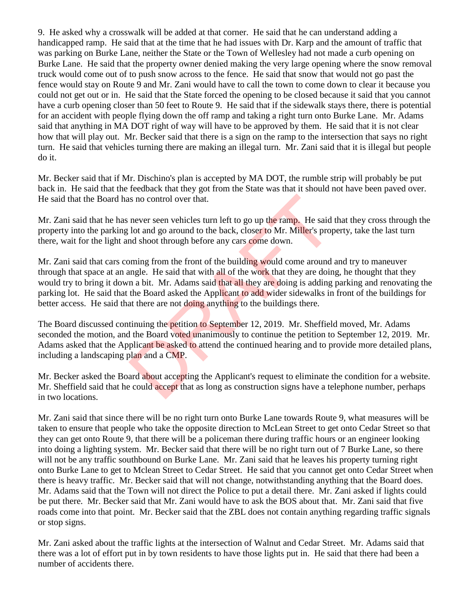9. He asked why a crosswalk will be added at that corner. He said that he can understand adding a handicapped ramp. He said that at the time that he had issues with Dr. Karp and the amount of traffic that was parking on Burke Lane, neither the State or the Town of Wellesley had not made a curb opening on Burke Lane. He said that the property owner denied making the very large opening where the snow removal truck would come out of to push snow across to the fence. He said that snow that would not go past the fence would stay on Route 9 and Mr. Zani would have to call the town to come down to clear it because you could not get out or in. He said that the State forced the opening to be closed because it said that you cannot have a curb opening closer than 50 feet to Route 9. He said that if the sidewalk stays there, there is potential for an accident with people flying down the off ramp and taking a right turn onto Burke Lane. Mr. Adams said that anything in MA DOT right of way will have to be approved by them. He said that it is not clear how that will play out. Mr. Becker said that there is a sign on the ramp to the intersection that says no right turn. He said that vehicles turning there are making an illegal turn. Mr. Zani said that it is illegal but people do it.

Mr. Becker said that if Mr. Dischino's plan is accepted by MA DOT, the rumble strip will probably be put back in. He said that the feedback that they got from the State was that it should not have been paved over. He said that the Board has no control over that.

Mr. Zani said that he has never seen vehicles turn left to go up the ramp. He said that they cross through the property into the parking lot and go around to the back, closer to Mr. Miller's property, take the last turn there, wait for the light and shoot through before any cars come down.

Mr. Zani said that cars coming from the front of the building would come around and try to maneuver through that space at an angle. He said that with all of the work that they are doing, he thought that they would try to bring it down a bit. Mr. Adams said that all they are doing is adding parking and renovating the parking lot. He said that the Board asked the Applicant to add wider sidewalks in front of the buildings for better access. He said that there are not doing anything to the buildings there. is no control over that.<br>
never seen vehicles turn left to go up the ramp. He said<br>
lot and go around to the back, closer to Mr. Miller's prop<br>
ming from the front of the building would come around<br>
ming from the front of

The Board discussed continuing the **petition to September 12, 2019.** Mr. Sheffield moved, Mr. Adams seconded the motion, and the Board voted unanimously to continue the petition to September 12, 2019. Mr. Adams asked that the Applicant be asked to attend the continued hearing and to provide more detailed plans, including a landscaping plan and a CMP.

Mr. Becker asked the Board about accepting the Applicant's request to eliminate the condition for a website. Mr. Sheffield said that he could accept that as long as construction signs have a telephone number, perhaps in two locations.

Mr. Zani said that since there will be no right turn onto Burke Lane towards Route 9, what measures will be taken to ensure that people who take the opposite direction to McLean Street to get onto Cedar Street so that they can get onto Route 9, that there will be a policeman there during traffic hours or an engineer looking into doing a lighting system. Mr. Becker said that there will be no right turn out of 7 Burke Lane, so there will not be any traffic southbound on Burke Lane. Mr. Zani said that he leaves his property turning right onto Burke Lane to get to Mclean Street to Cedar Street. He said that you cannot get onto Cedar Street when there is heavy traffic. Mr. Becker said that will not change, notwithstanding anything that the Board does. Mr. Adams said that the Town will not direct the Police to put a detail there. Mr. Zani asked if lights could be put there. Mr. Becker said that Mr. Zani would have to ask the BOS about that. Mr. Zani said that five roads come into that point. Mr. Becker said that the ZBL does not contain anything regarding traffic signals or stop signs.

Mr. Zani asked about the traffic lights at the intersection of Walnut and Cedar Street. Mr. Adams said that there was a lot of effort put in by town residents to have those lights put in. He said that there had been a number of accidents there.